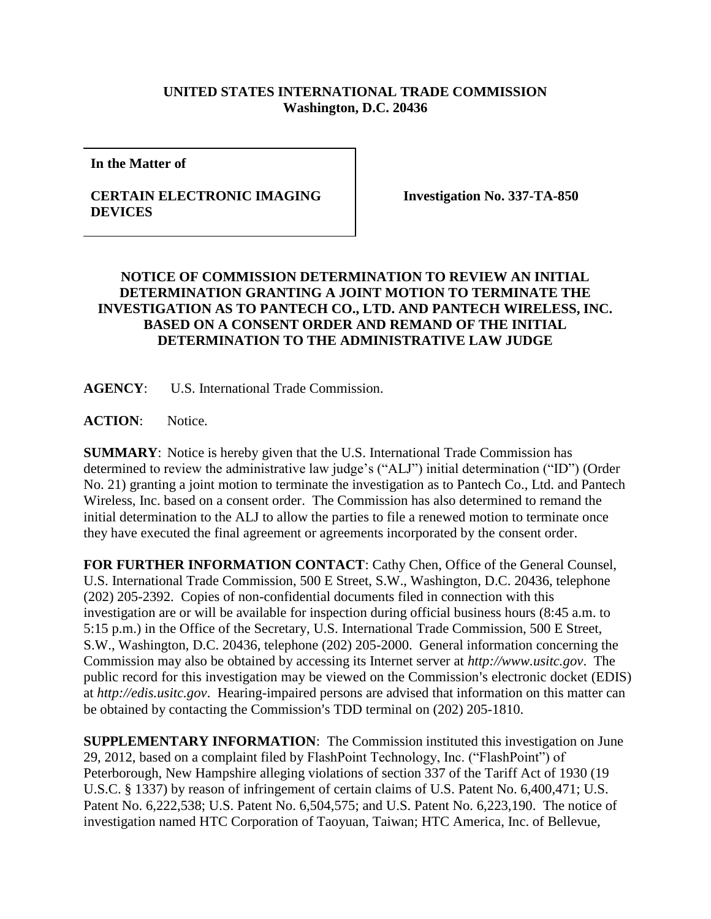## **UNITED STATES INTERNATIONAL TRADE COMMISSION Washington, D.C. 20436**

**In the Matter of**

## **CERTAIN ELECTRONIC IMAGING DEVICES**

**Investigation No. 337-TA-850**

## **NOTICE OF COMMISSION DETERMINATION TO REVIEW AN INITIAL DETERMINATION GRANTING A JOINT MOTION TO TERMINATE THE INVESTIGATION AS TO PANTECH CO., LTD. AND PANTECH WIRELESS, INC. BASED ON A CONSENT ORDER AND REMAND OF THE INITIAL DETERMINATION TO THE ADMINISTRATIVE LAW JUDGE**

**AGENCY**: U.S. International Trade Commission.

**ACTION**: Notice.

**SUMMARY**: Notice is hereby given that the U.S. International Trade Commission has determined to review the administrative law judge's ("ALJ") initial determination ("ID") (Order No. 21) granting a joint motion to terminate the investigation as to Pantech Co., Ltd. and Pantech Wireless, Inc. based on a consent order. The Commission has also determined to remand the initial determination to the ALJ to allow the parties to file a renewed motion to terminate once they have executed the final agreement or agreements incorporated by the consent order.

**FOR FURTHER INFORMATION CONTACT**: Cathy Chen, Office of the General Counsel, U.S. International Trade Commission, 500 E Street, S.W., Washington, D.C. 20436, telephone (202) 205-2392. Copies of non-confidential documents filed in connection with this investigation are or will be available for inspection during official business hours (8:45 a.m. to 5:15 p.m.) in the Office of the Secretary, U.S. International Trade Commission, 500 E Street, S.W., Washington, D.C. 20436, telephone (202) 205-2000. General information concerning the Commission may also be obtained by accessing its Internet server at *http://www.usitc.gov*. The public record for this investigation may be viewed on the Commission's electronic docket (EDIS) at *http://edis.usitc.gov*. Hearing-impaired persons are advised that information on this matter can be obtained by contacting the Commission's TDD terminal on  $(202)$  205-1810.

**SUPPLEMENTARY INFORMATION**: The Commission instituted this investigation on June 29, 2012, based on a complaint filed by FlashPoint Technology, Inc. ("FlashPoint") of Peterborough, New Hampshire alleging violations of section 337 of the Tariff Act of 1930 (19 U.S.C. § 1337) by reason of infringement of certain claims of U.S. Patent No. 6,400,471; U.S. Patent No. 6,222,538; U.S. Patent No. 6,504,575; and U.S. Patent No. 6,223,190. The notice of investigation named HTC Corporation of Taoyuan, Taiwan; HTC America, Inc. of Bellevue,